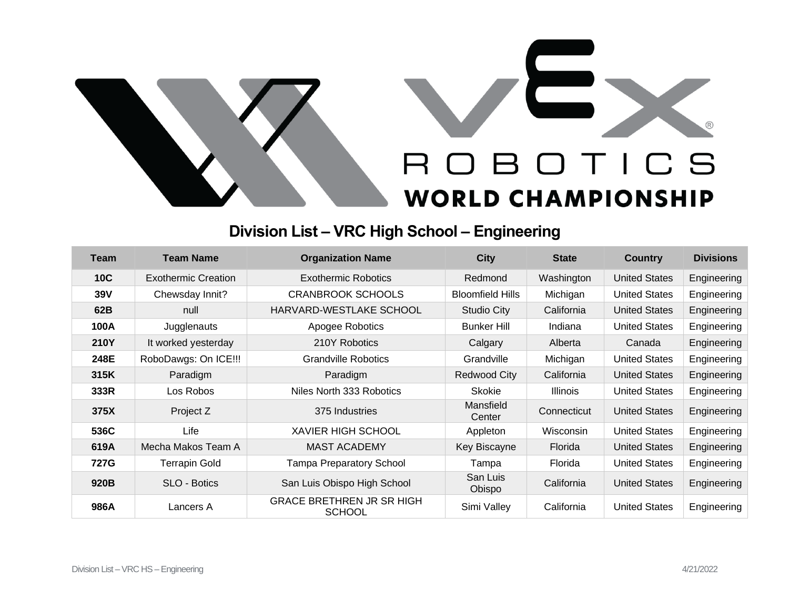

## **Division List – VRC High School – Engineering**

| Team        | <b>Team Name</b>      | <b>Organization Name</b>                          | <b>City</b>             | <b>State</b>    | <b>Country</b>       | <b>Divisions</b> |
|-------------|-----------------------|---------------------------------------------------|-------------------------|-----------------|----------------------|------------------|
| <b>10C</b>  | Exothermic Creation   | Exothermic Robotics                               | Redmond                 | Washington      | <b>United States</b> | Engineering      |
| 39V         | Chewsday Innit?       | <b>CRANBROOK SCHOOLS</b>                          | <b>Bloomfield Hills</b> | Michigan        | <b>United States</b> | Engineering      |
| 62B         | null                  | HARVARD-WESTLAKE SCHOOL                           | <b>Studio City</b>      | California      | <b>United States</b> | Engineering      |
| 100A        | Jugglenauts           | Apogee Robotics                                   | <b>Bunker Hill</b>      | Indiana         | <b>United States</b> | Engineering      |
| <b>210Y</b> | It worked yesterday   | 210Y Robotics                                     | Calgary                 | Alberta         | Canada               | Engineering      |
| 248E        | RoboDawgs: On ICE !!! | <b>Grandville Robotics</b>                        | Grandville              | Michigan        | <b>United States</b> | Engineering      |
| 315K        | Paradigm              | Paradigm                                          | Redwood City            | California      | <b>United States</b> | Engineering      |
| 333R        | Los Robos             | Niles North 333 Robotics                          | <b>Skokie</b>           | <b>Illinois</b> | <b>United States</b> | Engineering      |
| 375X        | Project Z             | 375 Industries                                    | Mansfield<br>Center     | Connecticut     | <b>United States</b> | Engineering      |
| 536C        | Life                  | <b>XAVIER HIGH SCHOOL</b>                         | Appleton                | Wisconsin       | <b>United States</b> | Engineering      |
| 619A        | Mecha Makos Team A    | <b>MAST ACADEMY</b>                               | Key Biscayne            | Florida         | <b>United States</b> | Engineering      |
| 727G        | <b>Terrapin Gold</b>  | <b>Tampa Preparatory School</b>                   | Tampa                   | Florida         | <b>United States</b> | Engineering      |
| 920B        | SLO - Botics          | San Luis Obispo High School                       | San Luis<br>Obispo      | California      | <b>United States</b> | Engineering      |
| 986A        | Lancers A             | <b>GRACE BRETHREN JR SR HIGH</b><br><b>SCHOOL</b> | Simi Valley             | California      | <b>United States</b> | Engineering      |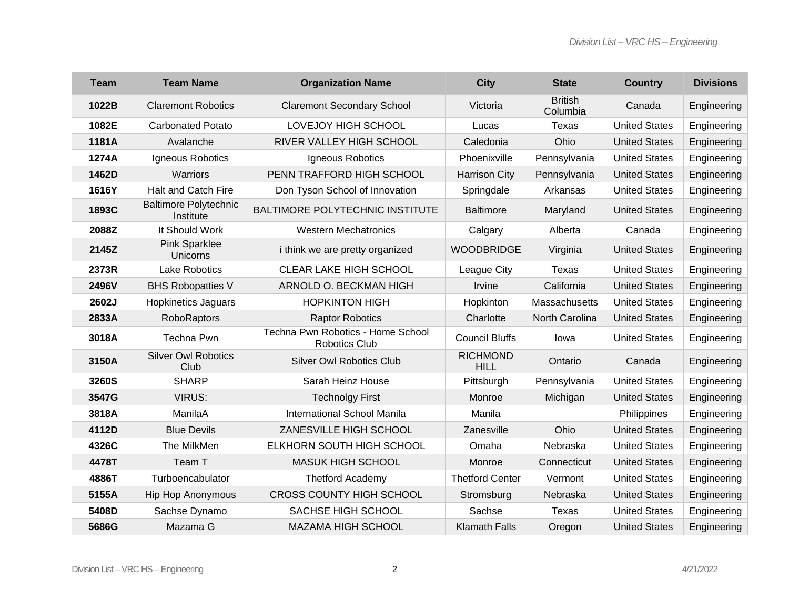| <b>Team</b> | <b>Team Name</b>                          | <b>Organization Name</b>                                  | <b>City</b>                    | <b>State</b>               | <b>Country</b>       | <b>Divisions</b> |
|-------------|-------------------------------------------|-----------------------------------------------------------|--------------------------------|----------------------------|----------------------|------------------|
| 1022B       | <b>Claremont Robotics</b>                 | <b>Claremont Secondary School</b>                         | Victoria                       | <b>British</b><br>Columbia | Canada               | Engineering      |
| 1082E       | <b>Carbonated Potato</b>                  | <b>LOVEJOY HIGH SCHOOL</b>                                | Lucas                          | Texas                      | <b>United States</b> | Engineering      |
| 1181A       | Avalanche                                 | RIVER VALLEY HIGH SCHOOL                                  | Caledonia                      | Ohio                       | <b>United States</b> | Engineering      |
| 1274A       | Igneous Robotics                          | Igneous Robotics                                          | Phoenixville                   | Pennsylvania               | <b>United States</b> | Engineering      |
| 1462D       | Warriors                                  | PENN TRAFFORD HIGH SCHOOL                                 | <b>Harrison City</b>           | Pennsylvania               | <b>United States</b> | Engineering      |
| 1616Y       | Halt and Catch Fire                       | Don Tyson School of Innovation                            | Springdale                     | Arkansas                   | <b>United States</b> | Engineering      |
| 1893C       | <b>Baltimore Polytechnic</b><br>Institute | <b>BALTIMORE POLYTECHNIC INSTITUTE</b>                    | <b>Baltimore</b>               | Maryland                   | <b>United States</b> | Engineering      |
| 2088Z       | It Should Work                            | <b>Western Mechatronics</b>                               | Calgary                        | Alberta                    | Canada               | Engineering      |
| 2145Z       | <b>Pink Sparklee</b><br>Unicorns          | <i>i</i> think we are pretty organized                    | <b>WOODBRIDGE</b>              | Virginia                   | <b>United States</b> | Engineering      |
| 2373R       | <b>Lake Robotics</b>                      | CLEAR LAKE HIGH SCHOOL                                    | League City                    | <b>Texas</b>               | <b>United States</b> | Engineering      |
| 2496V       | <b>BHS Robopatties V</b>                  | ARNOLD O. BECKMAN HIGH                                    | Irvine                         | California                 | <b>United States</b> | Engineering      |
| 2602J       | <b>Hopkinetics Jaguars</b>                | <b>HOPKINTON HIGH</b>                                     | Hopkinton                      | Massachusetts              | <b>United States</b> | Engineering      |
| 2833A       | <b>RoboRaptors</b>                        | <b>Raptor Robotics</b>                                    | Charlotte                      | North Carolina             | <b>United States</b> | Engineering      |
| 3018A       | Techna Pwn                                | Techna Pwn Robotics - Home School<br><b>Robotics Club</b> | <b>Council Bluffs</b>          | Iowa                       | <b>United States</b> | Engineering      |
| 3150A       | <b>Silver Owl Robotics</b><br>Club        | Silver Owl Robotics Club                                  | <b>RICHMOND</b><br><b>HILL</b> | Ontario                    | Canada               | Engineering      |
| 3260S       | <b>SHARP</b>                              | Sarah Heinz House                                         | Pittsburgh                     | Pennsylvania               | <b>United States</b> | Engineering      |
| 3547G       | <b>VIRUS:</b>                             | <b>Technolgy First</b>                                    | Monroe                         | Michigan                   | <b>United States</b> | Engineering      |
| 3818A       | ManilaA                                   | International School Manila                               | Manila                         |                            | Philippines          | Engineering      |
| 4112D       | <b>Blue Devils</b>                        | ZANESVILLE HIGH SCHOOL                                    | Zanesville                     | Ohio                       | <b>United States</b> | Engineering      |
| 4326C       | The MilkMen                               | ELKHORN SOUTH HIGH SCHOOL                                 | Omaha                          | Nebraska                   | <b>United States</b> | Engineering      |
| 4478T       | Team T                                    | <b>MASUK HIGH SCHOOL</b>                                  | Monroe                         | Connecticut                | <b>United States</b> | Engineering      |
| 4886T       | Turboencabulator                          | <b>Thetford Academy</b>                                   | <b>Thetford Center</b>         | Vermont                    | <b>United States</b> | Engineering      |
| 5155A       | <b>Hip Hop Anonymous</b>                  | <b>CROSS COUNTY HIGH SCHOOL</b>                           | Stromsburg                     | Nebraska                   | <b>United States</b> | Engineering      |
| 5408D       | Sachse Dynamo                             | SACHSE HIGH SCHOOL                                        | Sachse                         | Texas                      | <b>United States</b> | Engineering      |
| 5686G       | Mazama G                                  | MAZAMA HIGH SCHOOL                                        | <b>Klamath Falls</b>           | Oregon                     | <b>United States</b> | Engineering      |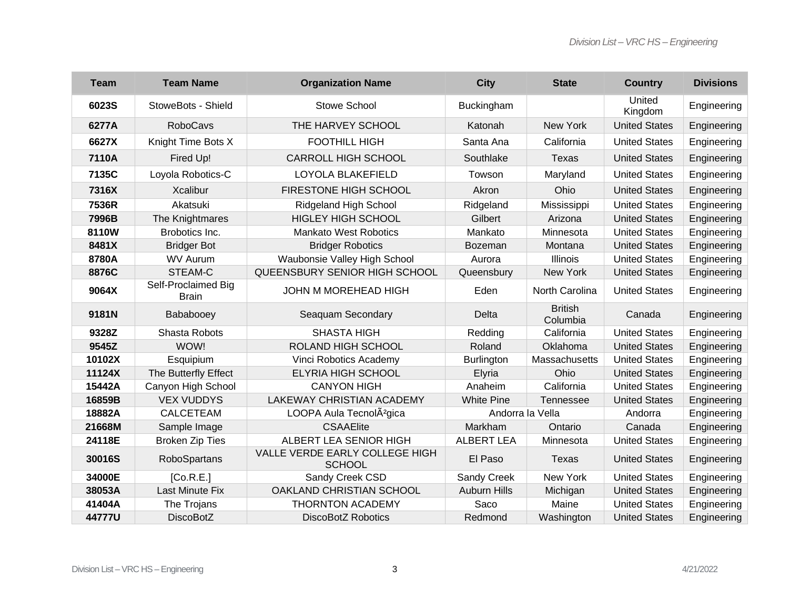| <b>Team</b> | <b>Team Name</b>                    | <b>Organization Name</b>                        | <b>City</b>         | <b>State</b>               | <b>Country</b>       | <b>Divisions</b> |
|-------------|-------------------------------------|-------------------------------------------------|---------------------|----------------------------|----------------------|------------------|
| 6023S       | StoweBots - Shield                  | <b>Stowe School</b>                             | Buckingham          |                            | United<br>Kingdom    | Engineering      |
| 6277A       | <b>RoboCavs</b>                     | THE HARVEY SCHOOL                               | Katonah             | New York                   | <b>United States</b> | Engineering      |
| 6627X       | Knight Time Bots X                  | <b>FOOTHILL HIGH</b>                            | Santa Ana           | California                 | <b>United States</b> | Engineering      |
| 7110A       | Fired Up!                           | <b>CARROLL HIGH SCHOOL</b>                      | Southlake           | Texas                      | <b>United States</b> | Engineering      |
| 7135C       | Loyola Robotics-C                   | LOYOLA BLAKEFIELD                               | Towson              | Maryland                   | <b>United States</b> | Engineering      |
| 7316X       | <b>Xcalibur</b>                     | FIRESTONE HIGH SCHOOL                           | Akron               | Ohio                       | <b>United States</b> | Engineering      |
| 7536R       | Akatsuki                            | Ridgeland High School                           | Ridgeland           | Mississippi                | <b>United States</b> | Engineering      |
| 7996B       | The Knightmares                     | <b>HIGLEY HIGH SCHOOL</b>                       | Gilbert             | Arizona                    | <b>United States</b> | Engineering      |
| 8110W       | Brobotics Inc.                      | <b>Mankato West Robotics</b>                    | Mankato             | Minnesota                  | <b>United States</b> | Engineering      |
| 8481X       | <b>Bridger Bot</b>                  | <b>Bridger Robotics</b>                         | Bozeman             | Montana                    | <b>United States</b> | Engineering      |
| 8780A       | <b>WV Aurum</b>                     | Waubonsie Valley High School                    | Aurora              | <b>Illinois</b>            | <b>United States</b> | Engineering      |
| 8876C       | STEAM-C                             | QUEENSBURY SENIOR HIGH SCHOOL                   | Queensbury          | New York                   | <b>United States</b> | Engineering      |
| 9064X       | Self-Proclaimed Big<br><b>Brain</b> | JOHN M MOREHEAD HIGH                            | Eden                | North Carolina             | <b>United States</b> | Engineering      |
| 9181N       | Bababooey                           | Seaquam Secondary                               | <b>Delta</b>        | <b>British</b><br>Columbia | Canada               | Engineering      |
| 9328Z       | Shasta Robots                       | <b>SHASTA HIGH</b>                              | Redding             | California                 | <b>United States</b> | Engineering      |
| 9545Z       | WOW!                                | ROLAND HIGH SCHOOL                              | Roland              | Oklahoma                   | <b>United States</b> | Engineering      |
| 10102X      | Esquipium                           | Vinci Robotics Academy                          | Burlington          | Massachusetts              | <b>United States</b> | Engineering      |
| 11124X      | The Butterfly Effect                | <b>ELYRIA HIGH SCHOOL</b>                       | Elyria              | Ohio                       | <b>United States</b> | Engineering      |
| 15442A      | Canyon High School                  | <b>CANYON HIGH</b>                              | Anaheim             | California                 | <b>United States</b> | Engineering      |
| 16859B      | <b>VEX VUDDYS</b>                   | LAKEWAY CHRISTIAN ACADEMY                       | <b>White Pine</b>   | Tennessee                  | <b>United States</b> | Engineering      |
| 18882A      | <b>CALCETEAM</b>                    | LOOPA Aula TecnolÂ <sup>2</sup> gica            | Andorra la Vella    |                            | Andorra              | Engineering      |
| 21668M      | Sample Image                        | <b>CSAAElite</b>                                | Markham             | Ontario                    | Canada               | Engineering      |
| 24118E      | <b>Broken Zip Ties</b>              | ALBERT LEA SENIOR HIGH                          | <b>ALBERT LEA</b>   | Minnesota                  | <b>United States</b> | Engineering      |
| 30016S      | RoboSpartans                        | VALLE VERDE EARLY COLLEGE HIGH<br><b>SCHOOL</b> | El Paso             | Texas                      | <b>United States</b> | Engineering      |
| 34000E      | [Co.R.E.]                           | Sandy Creek CSD                                 | Sandy Creek         | New York                   | <b>United States</b> | Engineering      |
| 38053A      | Last Minute Fix                     | OAKLAND CHRISTIAN SCHOOL                        | <b>Auburn Hills</b> | Michigan                   | <b>United States</b> | Engineering      |
| 41404A      | The Trojans                         | <b>THORNTON ACADEMY</b>                         | Saco                | Maine                      | <b>United States</b> | Engineering      |
| 44777U      | <b>DiscoBotZ</b>                    | <b>DiscoBotZ Robotics</b>                       | Redmond             | Washington                 | <b>United States</b> | Engineering      |